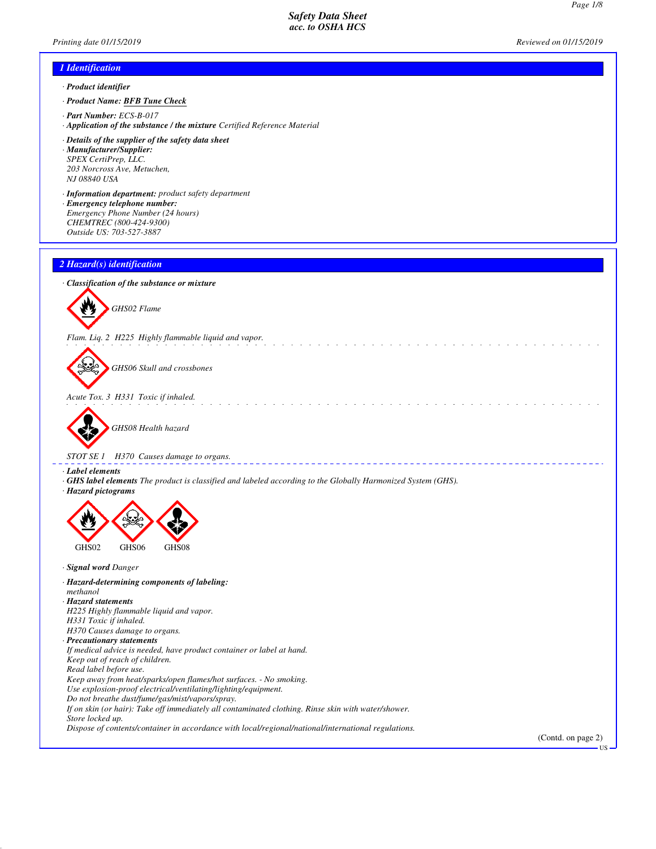and a straight and a

\_\_\_\_\_\_\_\_\_\_\_\_\_\_\_\_

## *Printing date 01/15/2019 Reviewed on 01/15/2019*

*Page 1/8*

# *1 Identification · Product identifier*

- *· Product Name: BFB Tune Check*
- *· Part Number: ECS-B-017*
- *· Application of the substance / the mixture Certified Reference Material*
- *· Details of the supplier of the safety data sheet · Manufacturer/Supplier: SPEX CertiPrep, LLC. 203 Norcross Ave, Metuchen, NJ 08840 USA*
- *· Information department: product safety department · Emergency telephone number: Emergency Phone Number (24 hours) CHEMTREC (800-424-9300)*
- *Outside US: 703-527-3887*

## *2 Hazard(s) identification*

*· Classification of the substance or mixture*



*Flam. Liq. 2 H225 Highly flammable liquid and vapor.*



*GHS06 Skull and crossbones*

*Acute Tox. 3 H331 Toxic if inhaled.*



*GHS08 Health hazard*

*STOT SE 1 H370 Causes damage to organs.*

- *· Label elements*
- *· GHS label elements The product is classified and labeled according to the Globally Harmonized System (GHS).*
- *· Hazard pictograms*



GHS02 GHS06 GHS08

*· Signal word Danger*

- *· Hazard-determining components of labeling:*
- *methanol*
- *· Hazard statements*
- *H225 Highly flammable liquid and vapor.*
- *H331 Toxic if inhaled. H370 Causes damage to organs.*
- *· Precautionary statements*
- *If medical advice is needed, have product container or label at hand.*
- *Keep out of reach of children.*
- *Read label before use.*

*Keep away from heat/sparks/open flames/hot surfaces. - No smoking.*

*Use explosion-proof electrical/ventilating/lighting/equipment.*

*Do not breathe dust/fume/gas/mist/vapors/spray.*

*If on skin (or hair): Take off immediately all contaminated clothing. Rinse skin with water/shower.*

*Store locked up.*

*Dispose of contents/container in accordance with local/regional/national/international regulations.*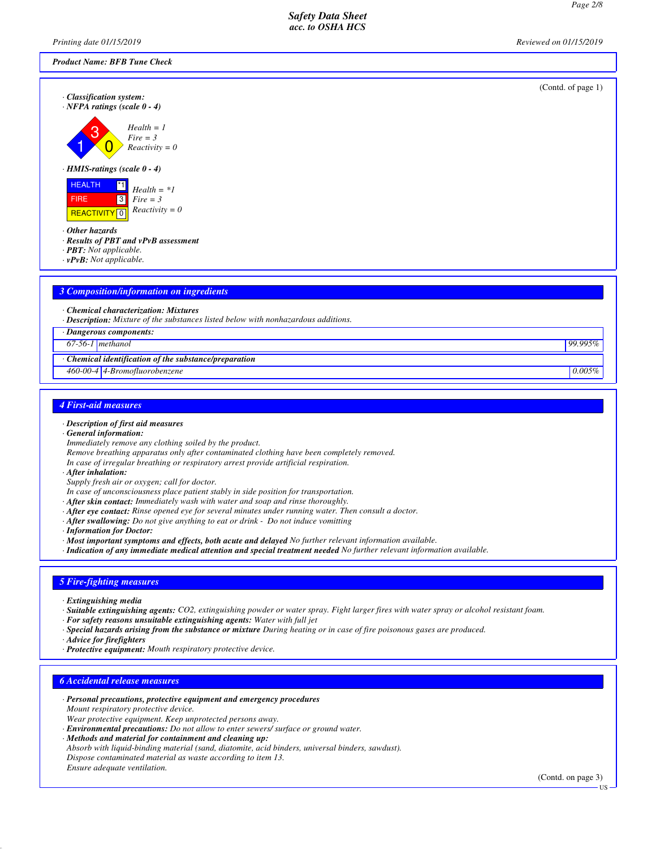*Printing date 01/15/2019 Reviewed on 01/15/2019*

| Product Name: BFB Tune Check                                                                                                      |                    |
|-----------------------------------------------------------------------------------------------------------------------------------|--------------------|
| · Classification system:<br>$\cdot$ NFPA ratings (scale 0 - 4)                                                                    | (Contd. of page 1) |
| $Health = 1$<br>$Fire = 3$<br>$Reactivity = 0$                                                                                    |                    |
| $\cdot$ HMIS-ratings (scale 0 - 4)                                                                                                |                    |
| <b>HEALTH</b><br>$^{\star}1$<br>$Health = *1$<br>$\boxed{3}$<br>FIRE<br>$Fire = 3$<br>$Reactivity = 0$<br>REACTIVITY <sup>0</sup> |                    |
| $\cdot$ Other hazards<br>$\cdot$ Results of PBT and $vPvB$ assessment<br>· PBT: Not applicable.<br>$\cdot$ vPvB: Not applicable.  |                    |
|                                                                                                                                   |                    |
| <b>3 Composition/information on ingredients</b>                                                                                   |                    |
| · Chemical characterization: Mixtures                                                                                             |                    |

*· Description: Mixture of the substances listed below with nonhazardous additions.*

*· Dangerous components:*

*67-56-1 methanol 99.995%*

*· Chemical identification of the substance/preparation*

*460-00-4 4-Bromofluorobenzene 0.005%*

### *4 First-aid measures*

- *· Description of first aid measures · General information:*
- *Immediately remove any clothing soiled by the product.*
- *Remove breathing apparatus only after contaminated clothing have been completely removed.*
- *In case of irregular breathing or respiratory arrest provide artificial respiration.*
- *· After inhalation:*
- *Supply fresh air or oxygen; call for doctor.*
- *In case of unconsciousness place patient stably in side position for transportation.*
- *· After skin contact: Immediately wash with water and soap and rinse thoroughly.*
- *· After eye contact: Rinse opened eye for several minutes under running water. Then consult a doctor.*
- *· After swallowing: Do not give anything to eat or drink Do not induce vomitting*
- *· Information for Doctor:*
- *· Most important symptoms and effects, both acute and delayed No further relevant information available.*
- *· Indication of any immediate medical attention and special treatment needed No further relevant information available.*

## *5 Fire-fighting measures*

- *· Extinguishing media*
- *· Suitable extinguishing agents: CO2, extinguishing powder or water spray. Fight larger fires with water spray or alcohol resistant foam.*
- *· For safety reasons unsuitable extinguishing agents: Water with full jet*
- *· Special hazards arising from the substance or mixture During heating or in case of fire poisonous gases are produced.*
- *· Advice for firefighters*
- *· Protective equipment: Mouth respiratory protective device.*

#### *6 Accidental release measures*

- *· Personal precautions, protective equipment and emergency procedures Mount respiratory protective device. Wear protective equipment. Keep unprotected persons away.*
- *· Environmental precautions: Do not allow to enter sewers/ surface or ground water.*
- *· Methods and material for containment and cleaning up: Absorb with liquid-binding material (sand, diatomite, acid binders, universal binders, sawdust). Dispose contaminated material as waste according to item 13. Ensure adequate ventilation.*

(Contd. on page 3)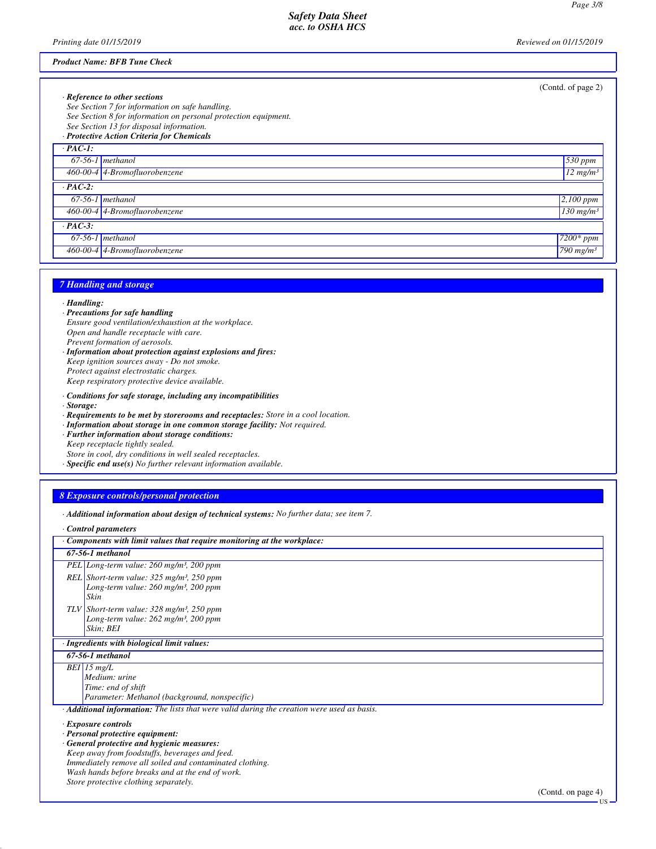US

*Safety Data Sheet acc. to OSHA HCS*

*Printing date 01/15/2019 Reviewed on 01/15/2019*

#### *Product Name: BFB Tune Check*

|           |                                                                 | (Contd. of page 2)             |
|-----------|-----------------------------------------------------------------|--------------------------------|
|           | $\cdot$ Reference to other sections                             |                                |
|           | See Section 7 for information on safe handling.                 |                                |
|           | See Section 8 for information on personal protection equipment. |                                |
|           | See Section 13 for disposal information.                        |                                |
|           | · Protective Action Criteria for Chemicals                      |                                |
| $PAC-I$ : |                                                                 |                                |
|           | $67-56-1$ methanol                                              | $530$ ppm                      |
|           | 460-00-4 4-Bromofluorobenzene                                   | $12$ mg/m <sup>3</sup>         |
| $PAC-2$ : |                                                                 |                                |
|           | $67-56-1$ methanol                                              | $2,100$ ppm                    |
|           | 460-00-4 4-Bromofluorobenzene                                   | $130$ mg/m <sup>3</sup>        |
| $PAC-3$ : |                                                                 |                                |
|           | $67-56-1$ methanol                                              | $\sqrt{7200}$ * ppm            |
|           | 460-00-4 4-Bromofluorobenzene                                   | $\sqrt{790}$ mg/m <sup>3</sup> |

### *7 Handling and storage*

#### *· Handling:*

- *· Precautions for safe handling*
- *Ensure good ventilation/exhaustion at the workplace. Open and handle receptacle with care. Prevent formation of aerosols.*
- *· Information about protection against explosions and fires: Keep ignition sources away - Do not smoke. Protect against electrostatic charges. Keep respiratory protective device available.*
- *· Conditions for safe storage, including any incompatibilities*
- *· Storage:*
- *· Requirements to be met by storerooms and receptacles: Store in a cool location.*
- *· Information about storage in one common storage facility: Not required.*
- *· Further information about storage conditions:*
- *Keep receptacle tightly sealed.*
- *Store in cool, dry conditions in well sealed receptacles.*
- *· Specific end use(s) No further relevant information available.*

## *8 Exposure controls/personal protection*

*· Additional information about design of technical systems: No further data; see item 7.*

*· Control parameters*

| Components with limit values that require monitoring at the workplace:                      |
|---------------------------------------------------------------------------------------------|
| 67-56-1 methanol                                                                            |
| PEL Long-term value: 260 mg/m <sup>3</sup> , 200 ppm                                        |
| REL Short-term value: $325$ mg/m <sup>3</sup> , 250 ppm                                     |
| Long-term value: $260$ mg/m <sup>3</sup> , $200$ ppm<br>Skin                                |
| TLV Short-term value: $328 \text{ mg/m}^3$ , $250 \text{ ppm}$                              |
| Long-term value: $262$ mg/m <sup>3</sup> , 200 ppm                                          |
| Skin; BEI                                                                                   |
| · Ingredients with biological limit values:                                                 |
| 67-56-1 methanol                                                                            |
| $BEI$ 15 mg/L                                                                               |
| Medium: urine                                                                               |
| Time: end of shift                                                                          |
| Parameter: Methanol (background, nonspecific)                                               |
| · Additional information: The lists that were valid during the creation were used as basis. |
| · Exposure controls                                                                         |
| · Personal protective equipment:                                                            |
| General protective and hygienic measures:                                                   |
| Keep away from foodstuffs, beverages and feed.                                              |
| Immediately remove all soiled and contaminated clothing.                                    |
| Wash hands before breaks and at the end of work.<br>Store protective clothing separately.   |
| (Contd. on page $4$ )                                                                       |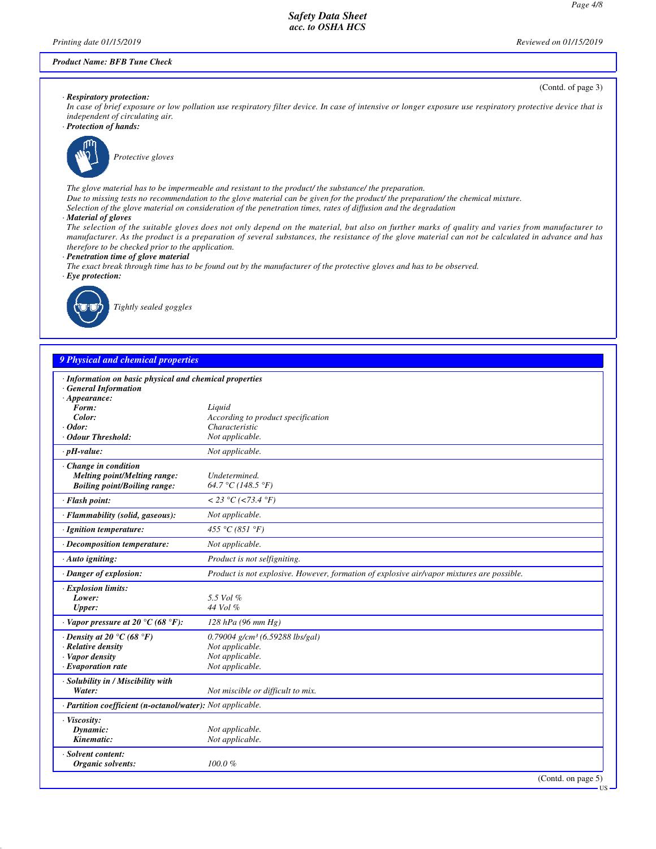(Contd. of page 3)

US

#### *Product Name: BFB Tune Check*

#### *· Respiratory protection:*

*In case of brief exposure or low pollution use respiratory filter device. In case of intensive or longer exposure use respiratory protective device that is independent of circulating air.*

*· Protection of hands:*



*Protective gloves*

*The glove material has to be impermeable and resistant to the product/ the substance/ the preparation.*

- *Due to missing tests no recommendation to the glove material can be given for the product/ the preparation/ the chemical mixture.*
- *Selection of the glove material on consideration of the penetration times, rates of diffusion and the degradation*
- *· Material of gloves*

*The selection of the suitable gloves does not only depend on the material, but also on further marks of quality and varies from manufacturer to manufacturer. As the product is a preparation of several substances, the resistance of the glove material can not be calculated in advance and has therefore to be checked prior to the application.*

*· Penetration time of glove material*

*The exact break through time has to be found out by the manufacturer of the protective gloves and has to be observed.*

*· Eye protection:*



*Tightly sealed goggles*

## *9 Physical and chemical properties*

| · Information on basic physical and chemical properties<br>· General Information |                                                                                            |                    |
|----------------------------------------------------------------------------------|--------------------------------------------------------------------------------------------|--------------------|
| $\cdot$ Appearance:                                                              |                                                                                            |                    |
| Form:                                                                            | Liquid                                                                                     |                    |
| Color:                                                                           | According to product specification                                                         |                    |
| $\cdot$ Odor:                                                                    | Characteristic                                                                             |                    |
| Odour Threshold:                                                                 | Not applicable.                                                                            |                    |
| $\cdot$ pH-value:                                                                | Not applicable.                                                                            |                    |
| $\cdot$ Change in condition                                                      |                                                                                            |                    |
| Melting point/Melting range:                                                     | Undetermined.                                                                              |                    |
| <b>Boiling point/Boiling range:</b>                                              | 64.7 °C (148.5 °F)                                                                         |                    |
| · Flash point:                                                                   | < 23 °C (<73.4 °F)                                                                         |                    |
| · Flammability (solid, gaseous):                                                 | Not applicable.                                                                            |                    |
| · Ignition temperature:                                                          | 455 °C (851 °F)                                                                            |                    |
| · Decomposition temperature:                                                     | Not applicable.                                                                            |                    |
| $\cdot$ Auto igniting:                                                           | Product is not selfigniting.                                                               |                    |
| · Danger of explosion:                                                           | Product is not explosive. However, formation of explosive air/vapor mixtures are possible. |                    |
| <b>Explosion limits:</b>                                                         |                                                                                            |                    |
| Lower:                                                                           | 5.5 Vol %                                                                                  |                    |
| Upper:                                                                           | 44 Vol %                                                                                   |                    |
| $\cdot$ Vapor pressure at 20 $\rm{^{\circ}C}$ (68 $\rm{^{\circ}F}$ ):            | $128$ hPa (96 mm Hg)                                                                       |                    |
| $\cdot$ Density at 20 °C (68 °F)                                                 | $0.79004$ g/cm <sup>3</sup> (6.59288 lbs/gal)                                              |                    |
| · Relative density                                                               | Not applicable.                                                                            |                    |
| · Vapor density                                                                  | Not applicable.                                                                            |                    |
| $\cdot$ Evaporation rate                                                         | Not applicable.                                                                            |                    |
| · Solubility in / Miscibility with                                               |                                                                                            |                    |
| Water:                                                                           | Not miscible or difficult to mix.                                                          |                    |
| · Partition coefficient (n-octanol/water): Not applicable.                       |                                                                                            |                    |
| · Viscosity:                                                                     |                                                                                            |                    |
| Dynamic:                                                                         | Not applicable.                                                                            |                    |
| Kinematic:                                                                       | Not applicable.                                                                            |                    |
| · Solvent content:                                                               |                                                                                            |                    |
| Organic solvents:                                                                | $100.0 \%$                                                                                 |                    |
|                                                                                  |                                                                                            | (Contd. on page 5) |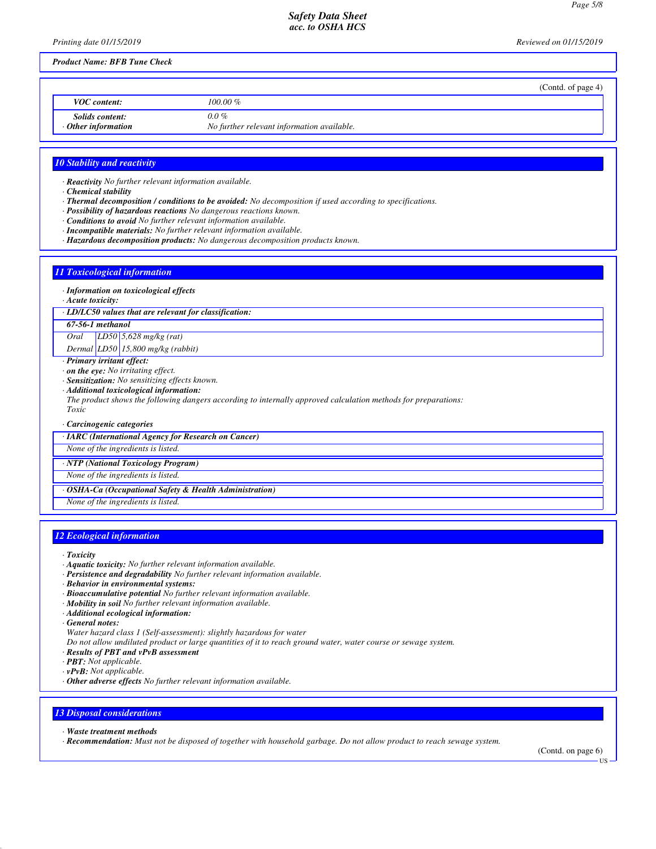*Printing date 01/15/2019 Reviewed on 01/15/2019*

## *Product Name: BFB Tune Check*

|                                                     | (Contd. of page 4)                                    |
|-----------------------------------------------------|-------------------------------------------------------|
| <b>VOC</b> content:                                 | $100.00\%$                                            |
| <i>Solids content:</i><br>$\cdot$ Other information | $0.0\%$<br>No further relevant information available. |

### *10 Stability and reactivity*

*· Reactivity No further relevant information available.*

- *· Chemical stability*
- *· Thermal decomposition / conditions to be avoided: No decomposition if used according to specifications.*
- *· Possibility of hazardous reactions No dangerous reactions known.*
- *· Conditions to avoid No further relevant information available.*
- *· Incompatible materials: No further relevant information available.*
- *· Hazardous decomposition products: No dangerous decomposition products known.*

## *11 Toxicological information*

#### *· Information on toxicological effects*

*· Acute toxicity:*

*· LD/LC50 values that are relevant for classification:*

*67-56-1 methanol*

*Oral LD50 5,628 mg/kg (rat)*

*Dermal LD50 15,800 mg/kg (rabbit)*

- *· Primary irritant effect:*
- *· on the eye: No irritating effect.*
- *· Sensitization: No sensitizing effects known.*
- *· Additional toxicological information:*
- *The product shows the following dangers according to internally approved calculation methods for preparations:*
- *Toxic*
- *· Carcinogenic categories*

*· IARC (International Agency for Research on Cancer)*

*None of the ingredients is listed.*

*· NTP (National Toxicology Program)*

*None of the ingredients is listed.*

- *· OSHA-Ca (Occupational Safety & Health Administration)*
- *None of the ingredients is listed.*

## *12 Ecological information*

- *· Toxicity*
- *· Aquatic toxicity: No further relevant information available.*
- *· Persistence and degradability No further relevant information available.*
- *· Behavior in environmental systems:*
- *· Bioaccumulative potential No further relevant information available.*
- *· Mobility in soil No further relevant information available.*
- *· Additional ecological information:*
- *· General notes:*
- *Water hazard class 1 (Self-assessment): slightly hazardous for water*
- *Do not allow undiluted product or large quantities of it to reach ground water, water course or sewage system.*
- *· Results of PBT and vPvB assessment*
- *· PBT: Not applicable.*
- *· vPvB: Not applicable.*
- *· Other adverse effects No further relevant information available.*

# *13 Disposal considerations*

*· Waste treatment methods*

*· Recommendation: Must not be disposed of together with household garbage. Do not allow product to reach sewage system.*

(Contd. on page 6)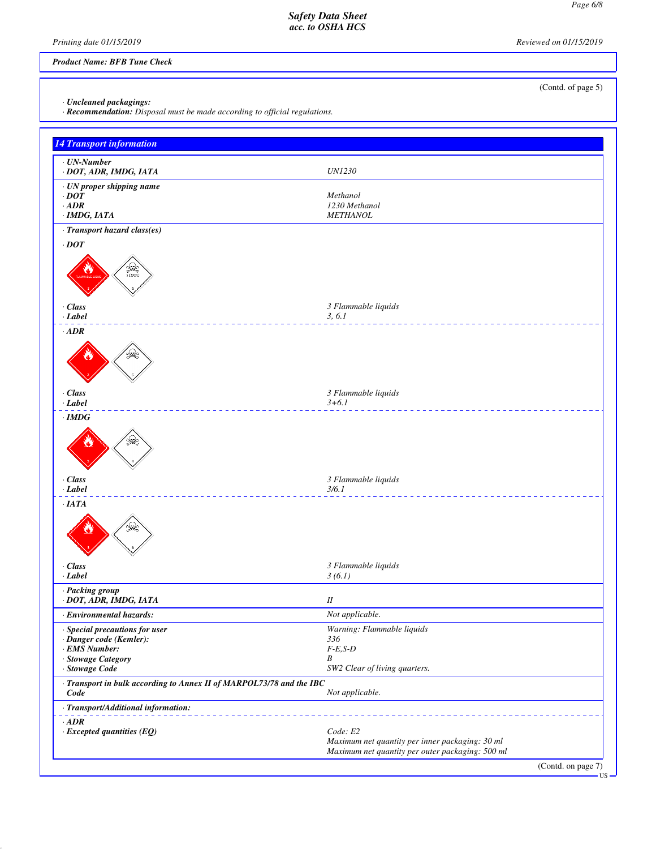*Printing date 01/15/2019 Reviewed on 01/15/2019*

## *Product Name: BFB Tune Check*

*· Uncleaned packagings:*

*· Recommendation: Disposal must be made according to official regulations.*

| <b>14 Transport information</b>                                                                                    |                                                                                                                 |
|--------------------------------------------------------------------------------------------------------------------|-----------------------------------------------------------------------------------------------------------------|
| $\cdot$ UN-Number                                                                                                  |                                                                                                                 |
| · DOT, ADR, IMDG, IATA                                                                                             | <b>UN1230</b>                                                                                                   |
| · UN proper shipping name                                                                                          |                                                                                                                 |
| $\cdot$ DOT<br>$\cdot$ ADR                                                                                         | Methanol<br>1230 Methanol                                                                                       |
| ·IMDG, IATA                                                                                                        | <b>METHANOL</b>                                                                                                 |
| · Transport hazard class(es)                                                                                       |                                                                                                                 |
| $\cdot$ DOT<br><b>SEE</b><br>$\cdot$ Class                                                                         |                                                                                                                 |
| · Label                                                                                                            | 3 Flammable liquids<br>3, 6.1                                                                                   |
| $\cdot$ ADR<br>€                                                                                                   |                                                                                                                 |
| $\cdot$ Class<br>$\cdot$ Label                                                                                     | 3 Flammable liquids<br>$3 + 6.1$                                                                                |
| $\cdot$ IMDG                                                                                                       |                                                                                                                 |
| $\left( \begin{array}{c} 0 \ 0 \end{array} \right)$<br>$\cdot$ Class                                               | 3 Flammable liquids                                                                                             |
| $\cdot$ Label                                                                                                      | 3/6.1                                                                                                           |
| $\cdot$ IATA<br>المنيكة<br>تاريخ<br>$\cdot$ Class<br>$\cdot$ Label                                                 | 3 Flammable liquids<br>3(6.1)                                                                                   |
| · Packing group                                                                                                    |                                                                                                                 |
| · DOT, ADR, IMDG, IATA                                                                                             | $I\!I$                                                                                                          |
| · Environmental hazards:                                                                                           | Not applicable.                                                                                                 |
| · Special precautions for user<br>· Danger code (Kemler):<br>· EMS Number:<br>· Stowage Category<br>· Stowage Code | Warning: Flammable liquids<br>336<br>$F-E, S-D$<br>B<br>SW2 Clear of living quarters.                           |
| · Transport in bulk according to Annex II of MARPOL73/78 and the IBC<br>Code                                       | Not applicable.                                                                                                 |
| · Transport/Additional information:                                                                                |                                                                                                                 |
| $·$ <i>ADR</i><br>$\cdot$ Excepted quantities (EQ)                                                                 | Code: E2<br>Maximum net quantity per inner packaging: 30 ml<br>Maximum net quantity per outer packaging: 500 ml |
|                                                                                                                    | (Contd. on page 7)<br><b>US</b>                                                                                 |

(Contd. of page 5)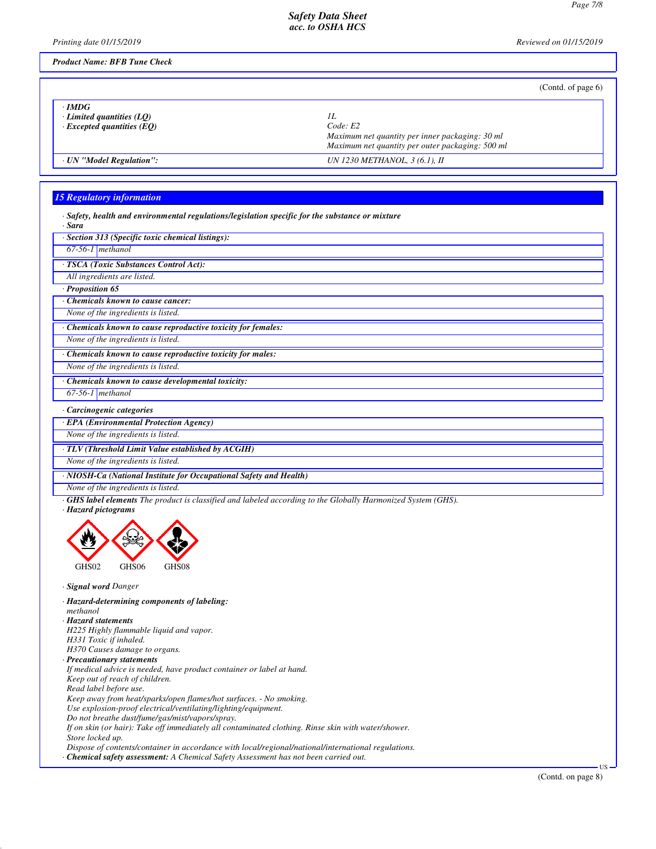*Printing date 01/15/2019 Reviewed on 01/15/2019*

## *Product Name: BFB Tune Check*

|                                                                               | (Contd. of page $6$ )                                                                                                 |
|-------------------------------------------------------------------------------|-----------------------------------------------------------------------------------------------------------------------|
| $\cdot$ IMDG<br>Limited quantities $(LQ)$<br>$\cdot$ Excepted quantities (EO) | IL<br>Code: E2<br>Maximum net quantity per inner packaging: 30 ml<br>Maximum net quantity per outer packaging: 500 ml |
| · UN "Model Regulation":                                                      | UN 1230 METHANOL, 3 (6.1), II                                                                                         |

# *15 Regulatory information*

|                                                 | $\cdot$ Safety, health and environmental regulations/legislation specific for the substance or mixture |  |  |  |
|-------------------------------------------------|--------------------------------------------------------------------------------------------------------|--|--|--|
| $\mathbf{C}_{\mathbf{C} \mathbf{B} \mathbf{C}}$ |                                                                                                        |  |  |  |

| suru                                                               |
|--------------------------------------------------------------------|
| · Section 313 (Specific toxic chemical listings):                  |
| $67-56-1$ methanol                                                 |
| TSCA (Toxic Substances Control Act):                               |
| All ingredients are listed.                                        |
| Proposition 65                                                     |
| <b>Chemicals known to cause cancer:</b>                            |
| None of the ingredients is listed.                                 |
| Chemicals known to cause reproductive toxicity for females:        |
| None of the ingredients is listed.                                 |
| Chemicals known to cause reproductive toxicity for males:          |
| None of the ingredients is listed.                                 |
| Chemicals known to cause developmental toxicity:                   |
| $67-56-1$ methanol                                                 |
| Carcinogenic categories                                            |
| · EPA (Environmental Protection Agency)                            |
| None of the ingredients is listed.                                 |
| · TLV (Threshold Limit Value established by ACGIH)                 |
| None of the ingredients is listed.                                 |
| · NIOSH-Ca (National Institute for Occupational Safety and Health) |
| None of the ingredients is listed.                                 |

*· GHS label elements The product is classified and labeled according to the Globally Harmonized System (GHS).*

*· Hazard pictograms*



- *· Signal word Danger*
- *· Hazard-determining components of labeling:*
- *methanol*
- *· Hazard statements*
- *H225 Highly flammable liquid and vapor.*
- *H331 Toxic if inhaled.*
- *H370 Causes damage to organs.*
- *· Precautionary statements*
- *If medical advice is needed, have product container or label at hand.*
- *Keep out of reach of children.*
- *Read label before use.*

*Keep away from heat/sparks/open flames/hot surfaces. - No smoking.*

*Use explosion-proof electrical/ventilating/lighting/equipment.*

*Do not breathe dust/fume/gas/mist/vapors/spray.*

*If on skin (or hair): Take off immediately all contaminated clothing. Rinse skin with water/shower. Store locked up.*

*Dispose of contents/container in accordance with local/regional/national/international regulations.*

*· Chemical safety assessment: A Chemical Safety Assessment has not been carried out.*